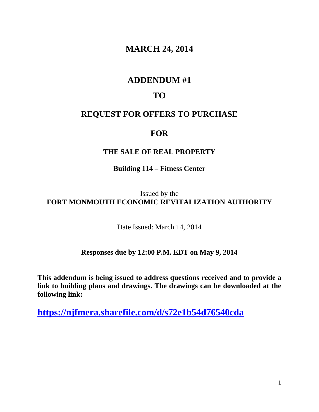# **MARCH 24, 2014**

## **ADDENDUM #1**

## **TO**

## **REQUEST FOR OFFERS TO PURCHASE**

### **FOR**

### **THE SALE OF REAL PROPERTY**

### **Building 114 – Fitness Center**

Issued by the **FORT MONMOUTH ECONOMIC REVITALIZATION AUTHORITY** 

Date Issued: March 14, 2014

#### **Responses due by 12:00 P.M. EDT on May 9, 2014**

**This addendum is being issued to address questions received and to provide a link to building plans and drawings. The drawings can be downloaded at the following link:** 

**https://njfmera.sharefile.com/d/s72e1b54d76540cda**